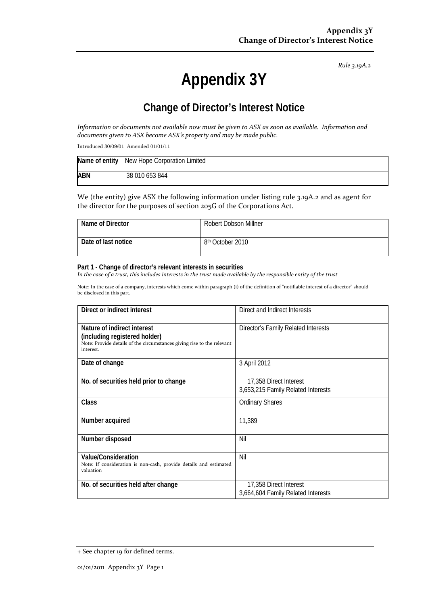*Rule 3.19A.2*

# **Appendix 3Y**

# **Change of Director's Interest Notice**

Information or documents not available now must be given to ASX as soon as available. Information and *documents given to ASX become ASX's property and may be made public.*

Introduced 30/09/01 Amended 01/01/11

|            | Name of entity New Hope Corporation Limited |
|------------|---------------------------------------------|
| <b>ABN</b> | 38 010 653 844                              |

We (the entity) give ASX the following information under listing rule 3.19A.2 and as agent for the director for the purposes of section 205G of the Corporations Act.

| Name of Director    | <b>Robert Dobson Millner</b> |
|---------------------|------------------------------|
| Date of last notice | 8 <sup>th</sup> October 2010 |

#### **Part 1 - Change of director's relevant interests in securities**

In the case of a trust, this includes interests in the trust made available by the responsible entity of the trust

Note: In the case of a company, interests which come within paragraph (i) of the definition of "notifiable interest of a director" should be disclosed in this part.

| Direct or indirect interest                                                                             | Direct and Indirect Interests       |  |
|---------------------------------------------------------------------------------------------------------|-------------------------------------|--|
|                                                                                                         |                                     |  |
| Nature of indirect interest                                                                             | Director's Family Related Interests |  |
| (including registered holder)<br>Note: Provide details of the circumstances giving rise to the relevant |                                     |  |
| interest.                                                                                               |                                     |  |
| Date of change                                                                                          | 3 April 2012                        |  |
|                                                                                                         |                                     |  |
| No. of securities held prior to change                                                                  | 17,358 Direct Interest              |  |
|                                                                                                         | 3,653,215 Family Related Interests  |  |
| Class                                                                                                   | <b>Ordinary Shares</b>              |  |
|                                                                                                         |                                     |  |
| Number acquired                                                                                         | 11,389                              |  |
|                                                                                                         |                                     |  |
| Number disposed                                                                                         | Nil                                 |  |
|                                                                                                         |                                     |  |
| <b>Value/Consideration</b><br>Note: If consideration is non-cash, provide details and estimated         | Nil                                 |  |
| valuation                                                                                               |                                     |  |
| No. of securities held after change                                                                     | 17,358 Direct Interest              |  |
|                                                                                                         | 3,664,604 Family Related Interests  |  |

<sup>+</sup> See chapter 19 for defined terms.